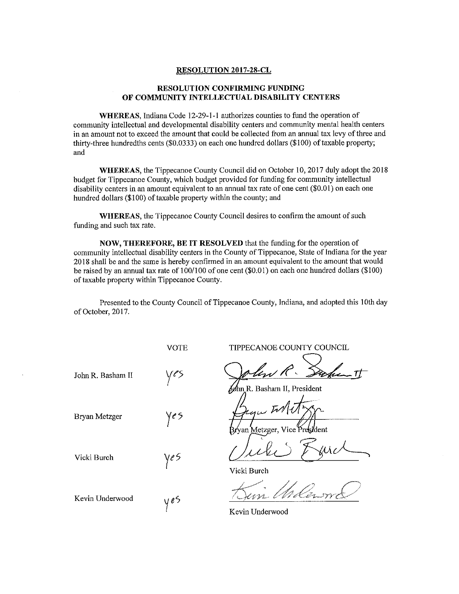## **RESOLUTION 2017-28-CL**

## **RESOLUTION CONFIRMING FUNDING** OF COMMUNITY INTELLECTUAL DISABILITY CENTERS

WHEREAS, Indiana Code 12-29-1-1 authorizes counties to fund the operation of community intellectual and developmental disability centers and community mental health centers in an amount not to exceed the amount that could be collected from an annual tax levy of three and thirty-three hundredths cents (\$0.0333) on each one hundred dollars (\$100) of taxable property; and

WHEREAS, the Tippecanoe County Council did on October 10, 2017 duly adopt the 2018 budget for Tippecanoe County, which budget provided for funding for community intellectual disability centers in an amount equivalent to an annual tax rate of one cent (\$0.01) on each one hundred dollars (\$100) of taxable property within the county; and

**WHEREAS, the Tippecanoe County Council desires to confirm the amount of such** funding and such tax rate.

NOW, THEREFORE, BE IT RESOLVED that the funding for the operation of community intellectual disability centers in the County of Tippecanoe, State of Indiana for the year 2018 shall be and the same is hereby confirmed in an amount equivalent to the amount that would be raised by an annual tax rate of  $100/100$  of one cent (\$0.01) on each one hundred dollars (\$100) of taxable property within Tippecanoe County.

Presented to the County Council of Tippecanoe County, Indiana, and adopted this 10th day of October, 2017.

**VOTE** 

John R. Basham II

**Bryan Metzger** 

Vicki Burch

Kevin Underwood

Ye S

ye S

y eS

TIPPECANOE COUNTY COUNCIL

R. Basham II, President

Aetzger, Vice P

Vicki Burch

Kevin Underwood